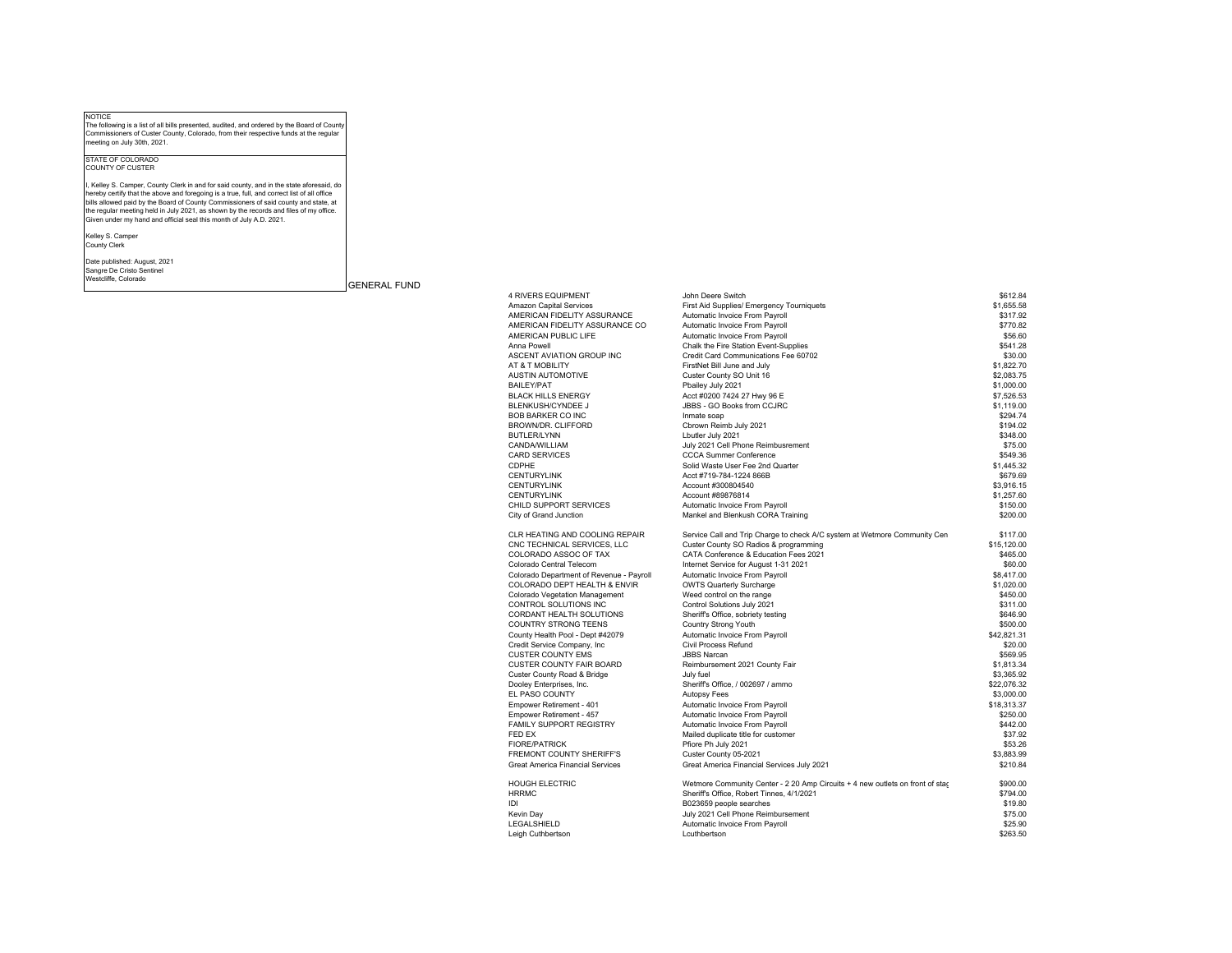NOTICE The following is <sup>a</sup> list of all bills presented, audited, and ordered by the Board of County Commissioners of Custer County, Colorado, from their respective funds at the regular meeting on July 30th, 2021.

## STATE OF COLORADOCOUNTY OF CUSTER

l, Kelley S. Camper, County Clerk in and for said county, and in the state aforesaid, do<br>hereby certify that the above and foregoing is a true, full, and correct list of all office<br>bills allowed paid by the Board of County

Kelley S. Camper County Clerk

Date published: August, 2021 Sangre De Cristo Sentinel<br>Westcliffe, Colorado

GENERAL FUND

| <b>4 RIVERS EQUIPMENT</b>                | John Deere Switch                                                             | \$612.84    |
|------------------------------------------|-------------------------------------------------------------------------------|-------------|
| Amazon Capital Services                  | First Aid Supplies/ Emergency Tourniquets                                     | \$1,655.58  |
| AMERICAN FIDELITY ASSURANCE              | Automatic Invoice From Payroll                                                | \$317.92    |
| AMERICAN FIDELITY ASSURANCE CO           | Automatic Invoice From Payroll                                                | \$770.82    |
| AMERICAN PUBLIC LIFE                     | Automatic Invoice From Payroll                                                | \$56.60     |
| Anna Powell                              | Chalk the Fire Station Event-Supplies                                         | \$541.28    |
| ASCENT AVIATION GROUP INC                | Credit Card Communications Fee 60702                                          | \$30.00     |
| AT & T MOBILITY                          | FirstNet Bill June and July                                                   | \$1,822.70  |
| <b>AUSTIN AUTOMOTIVE</b>                 | Custer County SO Unit 16                                                      | \$2,083.75  |
| <b>BAILEY/PAT</b>                        | Pbailey July 2021                                                             | \$1,000.00  |
| <b>BLACK HILLS ENERGY</b>                | Acct #0200 7424 27 Hwy 96 E                                                   | \$7,526,53  |
| BLENKUSH/CYNDEE J                        | JBBS - GO Books from CCJRC                                                    | \$1,119.00  |
| <b>BOB BARKER CO INC</b>                 | Inmate soap                                                                   | \$294.74    |
| BROWN/DR. CLIFFORD                       | Cbrown Reimb July 2021                                                        | \$194.02    |
| <b>BUTLER/LYNN</b>                       | Lbutler July 2021                                                             | \$348.00    |
| CANDA/WILLIAM                            | July 2021 Cell Phone Reimbusrement                                            | \$75.00     |
| <b>CARD SERVICES</b>                     | <b>CCCA Summer Conference</b>                                                 | \$549.36    |
| CDPHE                                    | Solid Waste User Fee 2nd Quarter                                              | \$1,445.32  |
| <b>CENTURYLINK</b>                       | Acct #719-784-1224 866B                                                       | \$679.69    |
| <b>CENTURYLINK</b>                       | Account #300804540                                                            | \$3,916.15  |
| <b>CENTURYLINK</b>                       | Account #89876814                                                             | \$1,257.60  |
| CHILD SUPPORT SERVICES                   | Automatic Invoice From Payroll                                                | \$150.00    |
| City of Grand Junction                   | Mankel and Blenkush CORA Training                                             | \$200.00    |
| CLR HEATING AND COOLING REPAIR           | Service Call and Trip Charge to check A/C system at Wetmore Community Cen     | \$117.00    |
| CNC TECHNICAL SERVICES, LLC              | Custer County SO Radios & programming                                         | \$15,120.00 |
| COLORADO ASSOC OF TAX                    | CATA Conference & Education Fees 2021                                         | \$465.00    |
| Colorado Central Telecom                 | Internet Service for August 1-31 2021                                         | \$60.00     |
| Colorado Department of Revenue - Payroll | Automatic Invoice From Payroll                                                | \$8,417.00  |
| COLORADO DEPT HEALTH & ENVIR             | <b>OWTS Quarterly Surcharge</b>                                               | \$1,020.00  |
| Colorado Vegetation Management           | Weed control on the range                                                     | \$450.00    |
| CONTROL SOLUTIONS INC                    | Control Solutions July 2021                                                   | \$311.00    |
| CORDANT HEALTH SOLUTIONS                 | Sheriff's Office, sobriety testing                                            | \$646.90    |
| <b>COUNTRY STRONG TEENS</b>              | Country Strong Youth                                                          | \$500.00    |
| County Health Pool - Dept #42079         | Automatic Invoice From Payroll                                                | \$42.821.31 |
| Credit Service Company, Inc.             | Civil Process Refund                                                          | \$20.00     |
| <b>CUSTER COUNTY EMS</b>                 | <b>JBBS Narcan</b>                                                            | \$569.95    |
| <b>CUSTER COUNTY FAIR BOARD</b>          | Reimbursement 2021 County Fair                                                | \$1.813.34  |
| Custer County Road & Bridge              | July fuel                                                                     | \$3,365.92  |
| Dooley Enterprises, Inc.                 | Sheriff's Office, / 002697 / ammo                                             | \$22,076.32 |
| EL PASO COUNTY                           | <b>Autopsy Fees</b>                                                           | \$3,000.00  |
| Empower Retirement - 401                 | Automatic Invoice From Payroll                                                | \$18,313.37 |
| Empower Retirement - 457                 | Automatic Invoice From Payroll                                                | \$250.00    |
| FAMILY SUPPORT REGISTRY                  | Automatic Invoice From Payroll                                                | \$442.00    |
| FED EX                                   | Mailed duplicate title for customer                                           | \$37.92     |
| <b>FIORE/PATRICK</b>                     | Pfiore Ph July 2021                                                           | \$53.26     |
| FREMONT COUNTY SHERIFF'S                 | Custer County 05-2021                                                         | \$3,883.99  |
| <b>Great America Financial Services</b>  | Great America Financial Services July 2021                                    | \$210.84    |
| <b>HOUGH ELECTRIC</b>                    | Wetmore Community Center - 2 20 Amp Circuits + 4 new outlets on front of star | \$900.00    |
| <b>HRRMC</b>                             | Sheriff's Office, Robert Tinnes, 4/1/2021                                     | \$794.00    |
| IDI                                      | B023659 people searches                                                       | \$19.80     |
| Kevin Day                                | July 2021 Cell Phone Reimbursement                                            | \$75.00     |
| LEGALSHIELD                              | Automatic Invoice From Payroll                                                | \$25.90     |
| Leigh Cuthbertson                        | Lcuthbertson                                                                  | \$263.50    |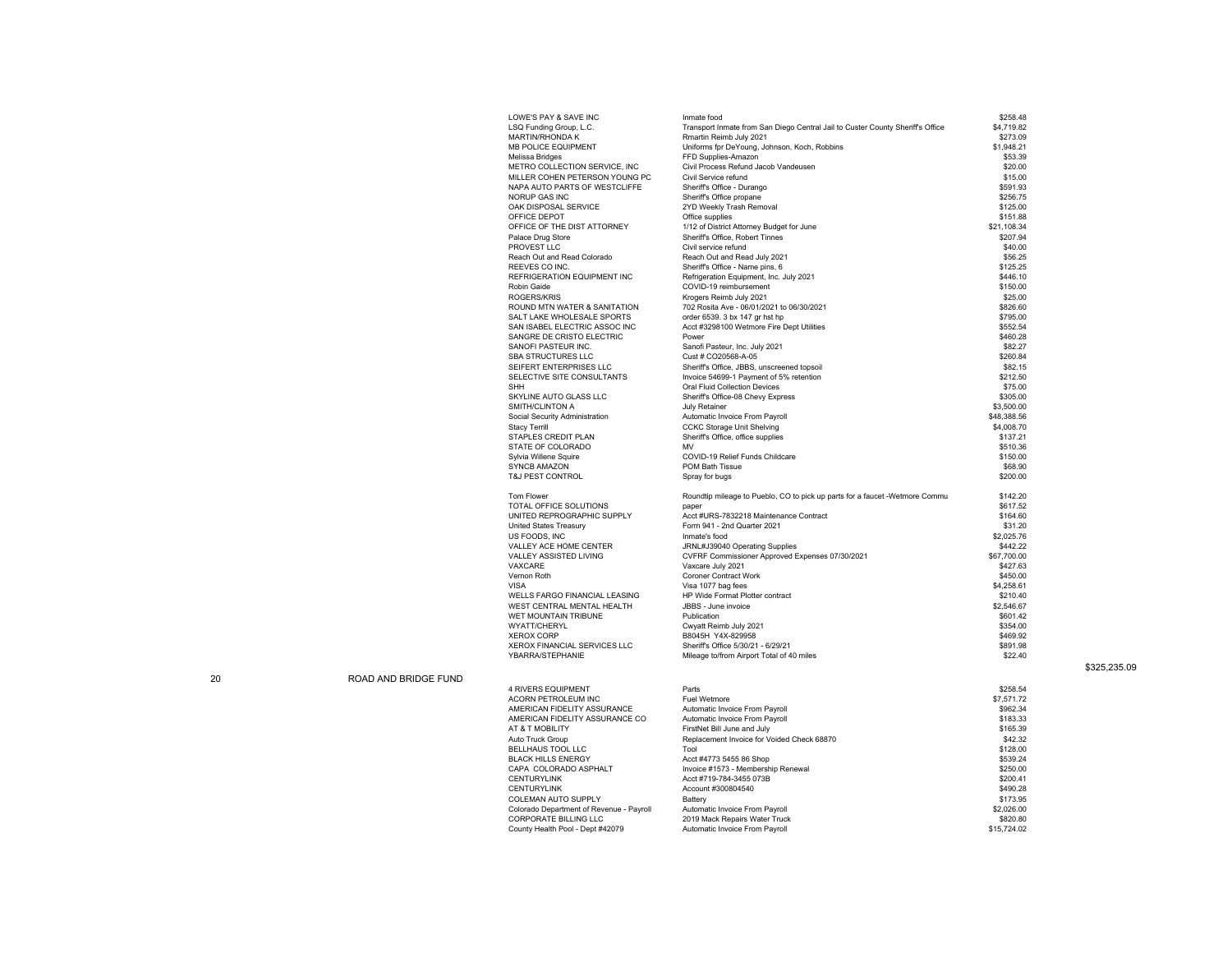| LOWE'S PAY & SAVE INC          | Inmate food                                                                    | \$258.48    |
|--------------------------------|--------------------------------------------------------------------------------|-------------|
| LSQ Funding Group, L.C.        | Transport Inmate from San Diego Central Jail to Custer County Sheriff's Office | \$4,719.82  |
| MARTIN/RHONDA K                | Rmartin Reimb July 2021                                                        | \$273.09    |
| <b>MB POLICE EQUIPMENT</b>     | Uniforms fpr DeYoung, Johnson, Koch, Robbins                                   | \$1.948.21  |
| Melissa Bridges                | FFD Supplies-Amazon                                                            | \$53.39     |
| METRO COLLECTION SERVICE, INC  | Civil Process Refund Jacob Vandeusen                                           | \$20.00     |
| MILLER COHEN PETERSON YOUNG PC | Civil Service refund                                                           | \$15.00     |
| NAPA AUTO PARTS OF WESTCLIFFE  | Sheriff's Office - Durango                                                     | \$591.93    |
| NORUP GAS INC                  | Sheriff's Office propane                                                       | \$256.75    |
| OAK DISPOSAL SERVICE           | 2YD Weekly Trash Removal                                                       | \$125.00    |
| OFFICE DEPOT                   | Office supplies                                                                | \$151.88    |
| OFFICE OF THE DIST ATTORNEY    | 1/12 of District Attorney Budget for June                                      | \$21,108.34 |
| Palace Drug Store              | Sheriff's Office, Robert Tinnes                                                | \$207.94    |
| PROVEST LLC                    | Civil service refund                                                           | \$40.00     |
| Reach Out and Read Colorado    | Reach Out and Read July 2021                                                   | \$56.25     |
|                                |                                                                                |             |
| REEVES CO INC.                 | Sheriff's Office - Name pins, 6                                                | \$125.25    |
| REFRIGERATION EQUIPMENT INC    | Refrigeration Equipment, Inc. July 2021                                        | \$446.10    |
| Robin Gaide                    | COVID-19 reimbursement                                                         | \$150.00    |
| ROGERS/KRIS                    | Krogers Reimb July 2021                                                        | \$25.00     |
| ROUND MTN WATER & SANITATION   | 702 Rosita Ave - 06/01/2021 to 06/30/2021                                      | \$826.60    |
| SALT LAKE WHOLESALE SPORTS     | order 6539. 3 bx 147 gr hst hp                                                 | \$795.00    |
| SAN ISABEL ELECTRIC ASSOC INC  | Acct #3298100 Wetmore Fire Dept Utilities                                      | \$552.54    |
| SANGRE DE CRISTO ELECTRIC      | Power                                                                          | \$460.28    |
| SANOFI PASTEUR INC.            | Sanofi Pasteur, Inc. July 2021                                                 | \$82.27     |
| SBA STRUCTURES LLC             | Cust # CO20568-A-05                                                            | \$260.84    |
| SEIFERT ENTERPRISES LLC        | Sheriff's Office, JBBS, unscreened topsoil                                     | \$82.15     |
| SELECTIVE SITE CONSULTANTS     | Invoice 54699-1 Payment of 5% retention                                        | \$212.50    |
| SHH                            | Oral Fluid Collection Devices                                                  | \$75.00     |
| SKYLINE AUTO GLASS LLC         | Sheriff's Office-08 Chevy Express                                              | \$305.00    |
| SMITH/CLINTON A                | <b>July Retainer</b>                                                           | \$3,500.00  |
| Social Security Administration | Automatic Invoice From Payroll                                                 | \$48,388.56 |
| Stacy Terrill                  | <b>CCKC Storage Unit Shelving</b>                                              | \$4,008.70  |
| STAPLES CREDIT PLAN            | Sheriff's Office, office supplies                                              | \$137.21    |
| STATE OF COLORADO              | MV                                                                             | \$510.36    |
| Sylvia Willene Squire          | COVID-19 Relief Funds Childcare                                                | \$150.00    |
| SYNCB AMAZON                   | POM Bath Tissue                                                                | \$68.90     |
| <b>T&amp;J PEST CONTROL</b>    | Spray for bugs                                                                 | \$200.00    |
|                                |                                                                                |             |
| Tom Flower                     | Roundtip mileage to Pueblo, CO to pick up parts for a faucet -Wetmore Commu    | \$142.20    |
| TOTAL OFFICE SOLUTIONS         | paper                                                                          | \$617.52    |
| UNITED REPROGRAPHIC SUPPLY     | Acct #URS-7832218 Maintenance Contract                                         | \$164.60    |
| United States Treasury         | Form 941 - 2nd Quarter 2021                                                    | \$31.20     |
| US FOODS, INC                  | Inmate's food                                                                  | \$2,025.76  |
| VALLEY ACE HOME CENTER         | JRNL#J39040 Operating Supplies                                                 | \$442.22    |
|                                |                                                                                |             |
| VALLEY ASSISTED LIVING         | CVFRF Commissioner Approved Expenses 07/30/2021                                | \$67,700.00 |
| VAXCARE                        | Vaxcare July 2021                                                              | \$427.63    |
| Vernon Roth                    | Coroner Contract Work                                                          | \$450.00    |
| VISA                           | Visa 1077 bag fees                                                             | \$4,258.61  |
| WELLS FARGO FINANCIAL LEASING  | HP Wide Format Plotter contract                                                | \$210.40    |
| WEST CENTRAL MENTAL HEALTH     | JBBS - June invoice                                                            | \$2,546.67  |
| WET MOUNTAIN TRIBUNE           | Publication                                                                    | \$601.42    |
| WYATT/CHERYL                   | Cwyatt Reimb July 2021                                                         | \$354.00    |
| XEROX CORP                     | B8045H Y4X-829958                                                              | \$469.92    |
| XEROX FINANCIAL SERVICES LLC   | Sheriff's Office 5/30/21 - 6/29/21                                             | \$891.98    |
| YBARRA/STEPHANIE               | Mileage to/from Airport Total of 40 miles                                      | \$22.40     |
|                                |                                                                                |             |
| <b>4 RIVERS EQUIPMENT</b>      | Parts                                                                          | \$258.54    |
| ACORN PETROLEUM INC            | Fuel Wetmore                                                                   | \$7,571.72  |
| AMERICAN FIDELITY ASSURANCE    | Automatic Invoice From Payroll                                                 | \$962.34    |
| AMERICAN FIDELITY ASSURANCE CO | Automatic Invoice From Payroll                                                 | \$183.33    |
| AT & T MOBILITY                | FirstNet Bill June and July                                                    | \$165.39    |
| Auto Truck Group               | Replacement Invoice for Voided Check 68870                                     | \$42.32     |
| BELLHAUS TOOL LLC              | Tool                                                                           | \$128.00    |
|                                |                                                                                |             |

BLACK HILLS ENERGY Acct #4773 5455 86 Shop<br>CAPA COLORADO ASPHALT Invoice #1573 - Membership Renewal \$250.00 CENTURYLINK Acct #719-784-3455 073B \$200.41 CENTURYLINK Account #300804540 \$490.28 COLEMAN AUTO SUPPLY Battery \$173.95 Colorado Department of Revenue - Payroll Automatic Invoice From Payroll \$2,026.00<br>CORPORATE BILLING LLC 2019 Mack Repairs Water Truck County Health Pool - Dept #42079 Automatic Invoice From Payroll \$15,724.02 \$325,235.09

20 ROAD AND BRIDGE FUND